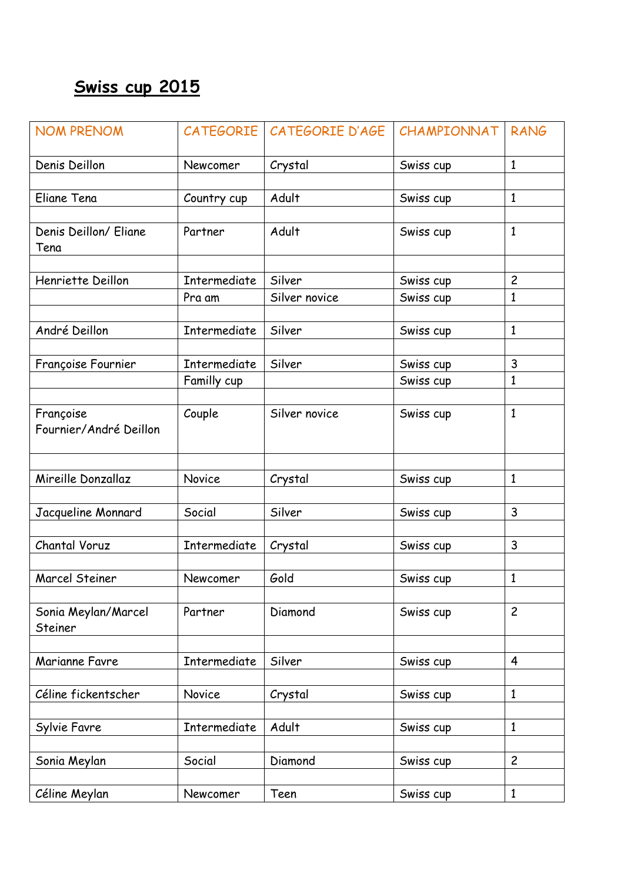## **Swiss cup 2015**

| <b>NOM PRENOM</b>                   | <b>CATEGORIE</b>    | CATEGORIE D'AGE | CHAMPIONNAT | <b>RANG</b>                    |
|-------------------------------------|---------------------|-----------------|-------------|--------------------------------|
| Denis Deillon                       | Newcomer            | Crystal         | Swiss cup   | $\mathbf{1}$                   |
|                                     |                     |                 |             |                                |
| Eliane Tena                         | Country cup         | Adult           | Swiss cup   | $\mathbf{1}$                   |
|                                     |                     |                 |             |                                |
| Denis Deillon/ Eliane<br>Tena       | Partner             | Adult           | Swiss cup   | $\mathbf{1}$                   |
|                                     |                     |                 |             |                                |
| Henriette Deillon                   | Intermediate        | Silver          | Swiss cup   | $\overline{c}$<br>$\mathbf{1}$ |
|                                     | Pra am              | Silver novice   | Swiss cup   |                                |
| André Deillon                       | <b>Intermediate</b> | Silver          | Swiss cup   | $\mathbf{1}$                   |
|                                     |                     |                 |             |                                |
| Françoise Fournier                  | Intermediate        | Silver          | Swiss cup   | 3                              |
|                                     | Familly cup         |                 | Swiss cup   | $\mathbf{1}$                   |
|                                     |                     |                 |             |                                |
| Françoise<br>Fournier/André Deillon | Couple              | Silver novice   | Swiss cup   | $\mathbf{1}$                   |
|                                     |                     |                 |             |                                |
| Mireille Donzallaz                  | Novice              | Crystal         | Swiss cup   | $\mathbf{1}$                   |
| Jacqueline Monnard                  | Social              | Silver          | Swiss cup   | $\mathbf{3}$                   |
|                                     |                     |                 |             |                                |
| Chantal Voruz                       | <b>Intermediate</b> | Crystal         | Swiss cup   | 3                              |
|                                     |                     |                 |             |                                |
| Marcel Steiner                      | Newcomer            | Gold            | Swiss cup   | $\mathbf{1}$                   |
| Sonia Meylan/Marcel<br>Steiner      | Partner             | Diamond         | Swiss cup   | $\overline{c}$                 |
|                                     |                     |                 |             |                                |
| Marianne Favre                      | Intermediate        | Silver          | Swiss cup   | $\overline{4}$                 |
|                                     |                     |                 |             |                                |
| Céline fickentscher                 | <b>Novice</b>       | Crystal         | Swiss cup   | $\mathbf{1}$                   |
|                                     | Intermediate        | Adult           |             | $\mathbf{1}$                   |
| Sylvie Favre                        |                     |                 | Swiss cup   |                                |
| Sonia Meylan                        | Social              | Diamond         | Swiss cup   | $\overline{c}$                 |
|                                     |                     |                 |             |                                |
| Céline Meylan                       | Newcomer            | Teen            | Swiss cup   | $\mathbf{1}$                   |